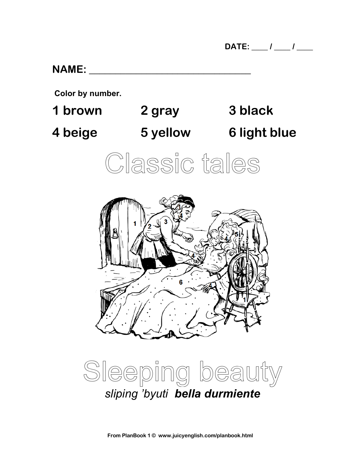#### **NAME: \_\_\_\_\_\_\_\_\_\_\_\_\_\_\_\_\_\_\_\_\_\_\_\_\_\_\_\_\_\_\_**

**Color by number.**

**1 brown 2 gray 3 black 4 beige 5 yellow 6 light blue**





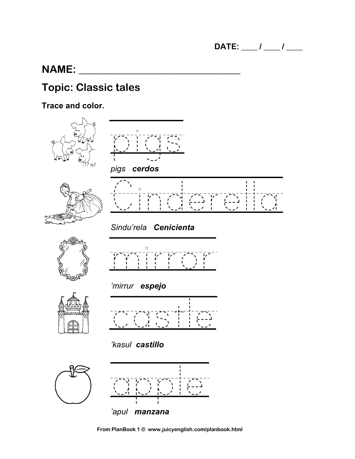### **NAME:**

# **Topic: Classic tales**

**Trace and color.**









*Sindu'rela Cenicienta*











castle





**From PlanBook 1 © www.juicyenglish.com/planbook.html**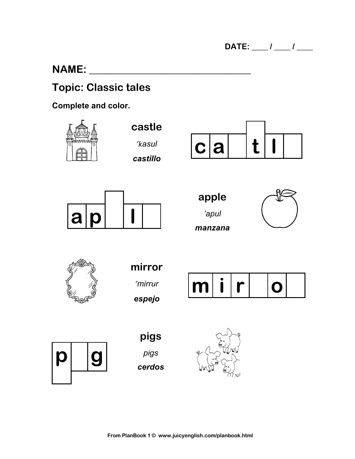### **NAME:**

### **Topic: Classic tales**

#### Complete and color.

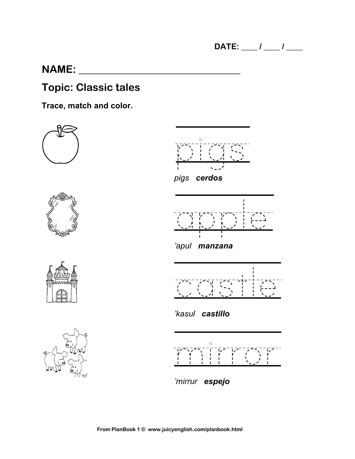### **NAME:**

### **Topic: Classic tales**

**Trace, match and color.**











*'kasul castillo*



*'mirrur espejo*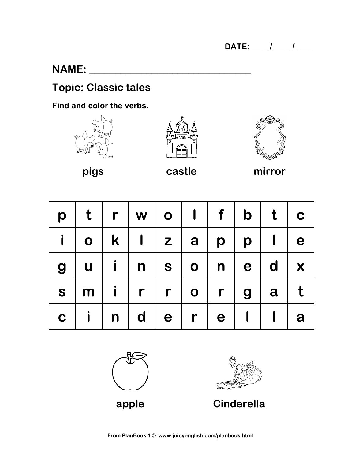### **NAME:**  $\blacksquare$

# **Topic: Classic tales**

**Find and color the verbs.**







**pigs castle mirror**

| p           | $\mathbf t$  | $\mathsf{r}$ | $\mid w \mid$ | $\overline{\mathbf{o}}$ |                                 | $\left  \begin{array}{c} \end{array} \right $ | $\mathbf{b}$     | t            | $\overline{\phantom{a}}$ |
|-------------|--------------|--------------|---------------|-------------------------|---------------------------------|-----------------------------------------------|------------------|--------------|--------------------------|
| i.          | $\mathbf O$  |              | $k$           | $\vert$ z $\vert$       | a                               | $p \mid$                                      | $\boldsymbol{p}$ | $\mathbf{I}$ | e                        |
| 9           | $\mathbf u$  | $\mathbf{i}$ |               |                         | $\vert n \vert s \vert o \vert$ | $n \mid$                                      | e                | $\mathbf d$  | $\boldsymbol{X}$         |
| S           | m            | $\mathbf{i}$ | $\mathsf{r}$  | $r$                     | $\bullet$                       | $\mathsf{r}$<br>$\blacksquare$                | 9                | a            |                          |
| $\mathbf C$ | $\mathbf{i}$ | $\ln$        | $\mathsf{d}$  | $\mathbf e$             | $\mathbf{r}$                    | e <sub>1</sub>                                |                  | $\mathbf{I}$ | a                        |





**apple Cinderella**